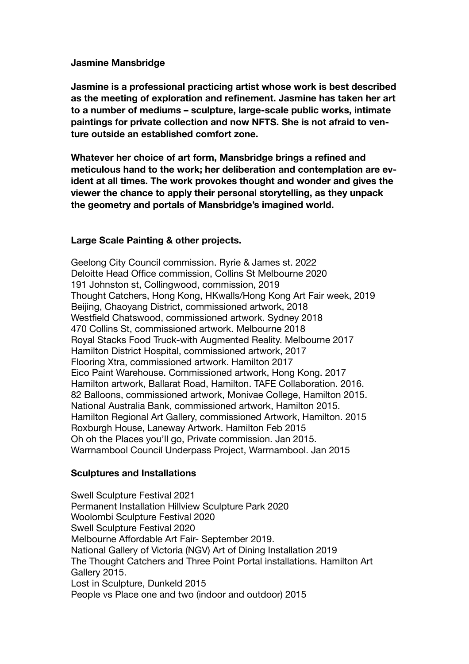#### **Jasmine Mansbridge**

**Jasmine is a professional practicing artist whose work is best described as the meeting of exploration and refinement. Jasmine has taken her art to a number of mediums – sculpture, large-scale public works, intimate paintings for private collection and now NFTS. She is not afraid to venture outside an established comfort zone.** 

**Whatever her choice of art form, Mansbridge brings a refined and meticulous hand to the work; her deliberation and contemplation are evident at all times. The work provokes thought and wonder and gives the viewer the chance to apply their personal storytelling, as they unpack the geometry and portals of Mansbridge's imagined world.** 

## **Large Scale Painting & other projects.**

Geelong City Council commission. Ryrie & James st. 2022 Deloitte Head Office commission, Collins St Melbourne 2020 191 Johnston st, Collingwood, commission, 2019 Thought Catchers, Hong Kong, HKwalls/Hong Kong Art Fair week, 2019 Beijing, Chaoyang District, commissioned artwork, 2018 Westfield Chatswood, commissioned artwork. Sydney 2018 470 Collins St, commissioned artwork. Melbourne 2018 Royal Stacks Food Truck-with Augmented Reality. Melbourne 2017 Hamilton District Hospital, commissioned artwork, 2017 Flooring Xtra, commissioned artwork. Hamilton 2017 Eico Paint Warehouse. Commissioned artwork, Hong Kong. 2017 Hamilton artwork, Ballarat Road, Hamilton. TAFE Collaboration. 2016. 82 Balloons, commissioned artwork, Monivae College, Hamilton 2015. National Australia Bank, commissioned artwork, Hamilton 2015. Hamilton Regional Art Gallery, commissioned Artwork, Hamilton. 2015 Roxburgh House, Laneway Artwork. Hamilton Feb 2015 Oh oh the Places you'll go, Private commission. Jan 2015. Warrnambool Council Underpass Project, Warrnambool. Jan 2015

## **Sculptures and Installations**

Swell Sculpture Festival 2021 Permanent Installation Hillview Sculpture Park 2020 Woolombi Sculpture Festival 2020 Swell Sculpture Festival 2020 Melbourne Affordable Art Fair- September 2019. National Gallery of Victoria (NGV) Art of Dining Installation 2019 The Thought Catchers and Three Point Portal installations. Hamilton Art Gallery 2015. Lost in Sculpture, Dunkeld 2015 People vs Place one and two (indoor and outdoor) 2015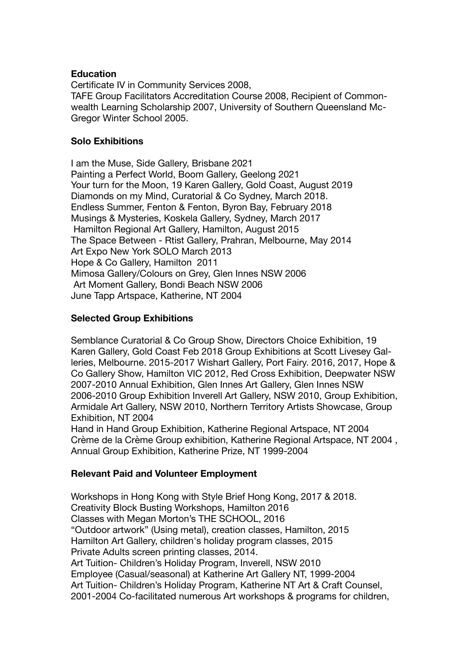#### **Education**

Certificate IV in Community Services 2008, TAFE Group Facilitators Accreditation Course 2008, Recipient of Commonwealth Learning Scholarship 2007, University of Southern Queensland Mc-Gregor Winter School 2005.

#### **Solo Exhibitions**

I am the Muse, Side Gallery, Brisbane 2021 Painting a Perfect World, Boom Gallery, Geelong 2021 Your turn for the Moon, 19 Karen Gallery, Gold Coast, August 2019 Diamonds on my Mind, Curatorial & Co Sydney, March 2018. Endless Summer, Fenton & Fenton, Byron Bay, February 2018 Musings & Mysteries, Koskela Gallery, Sydney, March 2017 Hamilton Regional Art Gallery, Hamilton, August 2015 The Space Between - Rtist Gallery, Prahran, Melbourne, May 2014 Art Expo New York SOLO March 2013 Hope & Co Gallery, Hamilton 2011 Mimosa Gallery/Colours on Grey, Glen Innes NSW 2006 Art Moment Gallery, Bondi Beach NSW 2006 June Tapp Artspace, Katherine, NT 2004

## **Selected Group Exhibitions**

Semblance Curatorial & Co Group Show, Directors Choice Exhibition, 19 Karen Gallery, Gold Coast Feb 2018 Group Exhibitions at Scott Livesey Galleries, Melbourne. 2015-2017 Wishart Gallery, Port Fairy. 2016, 2017, Hope & Co Gallery Show, Hamilton VIC 2012, Red Cross Exhibition, Deepwater NSW 2007-2010 Annual Exhibition, Glen Innes Art Gallery, Glen Innes NSW 2006-2010 Group Exhibition Inverell Art Gallery, NSW 2010, Group Exhibition, Armidale Art Gallery, NSW 2010, Northern Territory Artists Showcase, Group Exhibition, NT 2004

Hand in Hand Group Exhibition, Katherine Regional Artspace, NT 2004 Crème de la Crème Group exhibition, Katherine Regional Artspace, NT 2004 , Annual Group Exhibition, Katherine Prize, NT 1999-2004

## **Relevant Paid and Volunteer Employment**

Workshops in Hong Kong with Style Brief Hong Kong, 2017 & 2018. Creativity Block Busting Workshops, Hamilton 2016 Classes with Megan Morton's THE SCHOOL, 2016 "Outdoor artwork" (Using metal), creation classes, Hamilton, 2015 Hamilton Art Gallery, children's holiday program classes, 2015 Private Adults screen printing classes, 2014. Art Tuition- Children's Holiday Program, Inverell, NSW 2010 Employee (Casual/seasonal) at Katherine Art Gallery NT, 1999-2004 Art Tuition- Children's Holiday Program, Katherine NT Art & Craft Counsel, 2001-2004 Co-facilitated numerous Art workshops & programs for children,